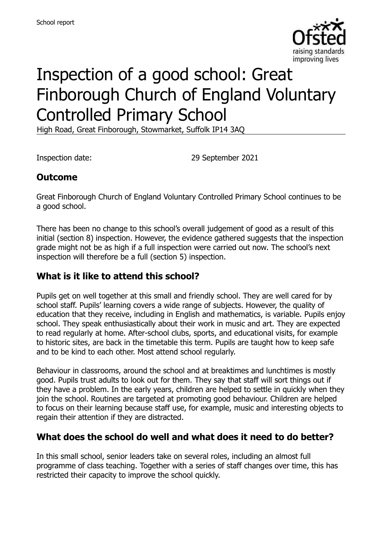

# Inspection of a good school: Great Finborough Church of England Voluntary Controlled Primary School

High Road, Great Finborough, Stowmarket, Suffolk IP14 3AQ

Inspection date: 29 September 2021

#### **Outcome**

Great Finborough Church of England Voluntary Controlled Primary School continues to be a good school.

There has been no change to this school's overall judgement of good as a result of this initial (section 8) inspection. However, the evidence gathered suggests that the inspection grade might not be as high if a full inspection were carried out now. The school's next inspection will therefore be a full (section 5) inspection.

#### **What is it like to attend this school?**

Pupils get on well together at this small and friendly school. They are well cared for by school staff. Pupils' learning covers a wide range of subjects. However, the quality of education that they receive, including in English and mathematics, is variable. Pupils enjoy school. They speak enthusiastically about their work in music and art. They are expected to read regularly at home. After-school clubs, sports, and educational visits, for example to historic sites, are back in the timetable this term. Pupils are taught how to keep safe and to be kind to each other. Most attend school regularly.

Behaviour in classrooms, around the school and at breaktimes and lunchtimes is mostly good. Pupils trust adults to look out for them. They say that staff will sort things out if they have a problem. In the early years, children are helped to settle in quickly when they join the school. Routines are targeted at promoting good behaviour. Children are helped to focus on their learning because staff use, for example, music and interesting objects to regain their attention if they are distracted.

#### **What does the school do well and what does it need to do better?**

In this small school, senior leaders take on several roles, including an almost full programme of class teaching. Together with a series of staff changes over time, this has restricted their capacity to improve the school quickly.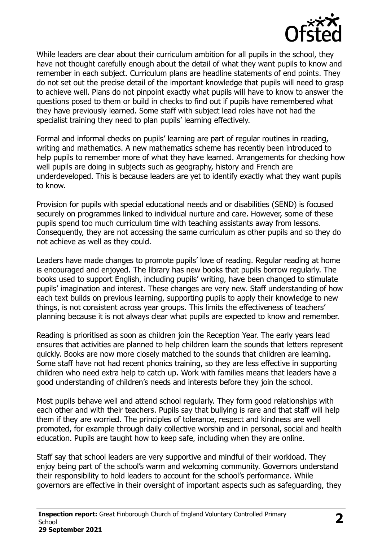

While leaders are clear about their curriculum ambition for all pupils in the school, they have not thought carefully enough about the detail of what they want pupils to know and remember in each subject. Curriculum plans are headline statements of end points. They do not set out the precise detail of the important knowledge that pupils will need to grasp to achieve well. Plans do not pinpoint exactly what pupils will have to know to answer the questions posed to them or build in checks to find out if pupils have remembered what they have previously learned. Some staff with subject lead roles have not had the specialist training they need to plan pupils' learning effectively.

Formal and informal checks on pupils' learning are part of regular routines in reading, writing and mathematics. A new mathematics scheme has recently been introduced to help pupils to remember more of what they have learned. Arrangements for checking how well pupils are doing in subjects such as geography, history and French are underdeveloped. This is because leaders are yet to identify exactly what they want pupils to know.

Provision for pupils with special educational needs and or disabilities (SEND) is focused securely on programmes linked to individual nurture and care. However, some of these pupils spend too much curriculum time with teaching assistants away from lessons. Consequently, they are not accessing the same curriculum as other pupils and so they do not achieve as well as they could.

Leaders have made changes to promote pupils' love of reading. Regular reading at home is encouraged and enjoyed. The library has new books that pupils borrow regularly. The books used to support English, including pupils' writing, have been changed to stimulate pupils' imagination and interest. These changes are very new. Staff understanding of how each text builds on previous learning, supporting pupils to apply their knowledge to new things, is not consistent across year groups. This limits the effectiveness of teachers' planning because it is not always clear what pupils are expected to know and remember.

Reading is prioritised as soon as children join the Reception Year. The early years lead ensures that activities are planned to help children learn the sounds that letters represent quickly. Books are now more closely matched to the sounds that children are learning. Some staff have not had recent phonics training, so they are less effective in supporting children who need extra help to catch up. Work with families means that leaders have a good understanding of children's needs and interests before they join the school.

Most pupils behave well and attend school regularly. They form good relationships with each other and with their teachers. Pupils say that bullying is rare and that staff will help them if they are worried. The principles of tolerance, respect and kindness are well promoted, for example through daily collective worship and in personal, social and health education. Pupils are taught how to keep safe, including when they are online.

Staff say that school leaders are very supportive and mindful of their workload. They enjoy being part of the school's warm and welcoming community. Governors understand their responsibility to hold leaders to account for the school's performance. While governors are effective in their oversight of important aspects such as safeguarding, they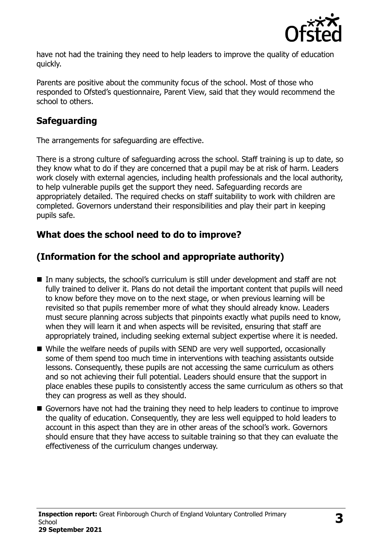

have not had the training they need to help leaders to improve the quality of education quickly.

Parents are positive about the community focus of the school. Most of those who responded to Ofsted's questionnaire, Parent View, said that they would recommend the school to others.

## **Safeguarding**

The arrangements for safeguarding are effective.

There is a strong culture of safeguarding across the school. Staff training is up to date, so they know what to do if they are concerned that a pupil may be at risk of harm. Leaders work closely with external agencies, including health professionals and the local authority, to help vulnerable pupils get the support they need. Safeguarding records are appropriately detailed. The required checks on staff suitability to work with children are completed. Governors understand their responsibilities and play their part in keeping pupils safe.

## **What does the school need to do to improve?**

## **(Information for the school and appropriate authority)**

- In many subjects, the school's curriculum is still under development and staff are not fully trained to deliver it. Plans do not detail the important content that pupils will need to know before they move on to the next stage, or when previous learning will be revisited so that pupils remember more of what they should already know. Leaders must secure planning across subjects that pinpoints exactly what pupils need to know, when they will learn it and when aspects will be revisited, ensuring that staff are appropriately trained, including seeking external subject expertise where it is needed.
- While the welfare needs of pupils with SEND are very well supported, occasionally some of them spend too much time in interventions with teaching assistants outside lessons. Consequently, these pupils are not accessing the same curriculum as others and so not achieving their full potential. Leaders should ensure that the support in place enables these pupils to consistently access the same curriculum as others so that they can progress as well as they should.
- Governors have not had the training they need to help leaders to continue to improve the quality of education. Consequently, they are less well equipped to hold leaders to account in this aspect than they are in other areas of the school's work. Governors should ensure that they have access to suitable training so that they can evaluate the effectiveness of the curriculum changes underway.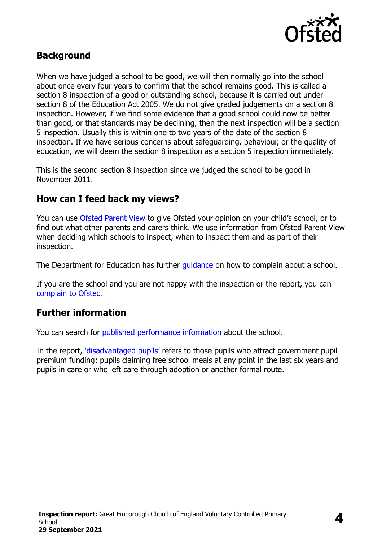

#### **Background**

When we have judged a school to be good, we will then normally go into the school about once every four years to confirm that the school remains good. This is called a section 8 inspection of a good or outstanding school, because it is carried out under section 8 of the Education Act 2005. We do not give graded judgements on a section 8 inspection. However, if we find some evidence that a good school could now be better than good, or that standards may be declining, then the next inspection will be a section 5 inspection. Usually this is within one to two years of the date of the section 8 inspection. If we have serious concerns about safeguarding, behaviour, or the quality of education, we will deem the section 8 inspection as a section 5 inspection immediately.

This is the second section 8 inspection since we judged the school to be good in November 2011.

#### **How can I feed back my views?**

You can use [Ofsted Parent View](https://parentview.ofsted.gov.uk/) to give Ofsted your opinion on your child's school, or to find out what other parents and carers think. We use information from Ofsted Parent View when deciding which schools to inspect, when to inspect them and as part of their inspection.

The Department for Education has further quidance on how to complain about a school.

If you are the school and you are not happy with the inspection or the report, you can [complain to Ofsted.](https://www.gov.uk/complain-ofsted-report)

#### **Further information**

You can search for [published performance information](http://www.compare-school-performance.service.gov.uk/) about the school.

In the report, '[disadvantaged pupils](http://www.gov.uk/guidance/pupil-premium-information-for-schools-and-alternative-provision-settings)' refers to those pupils who attract government pupil premium funding: pupils claiming free school meals at any point in the last six years and pupils in care or who left care through adoption or another formal route.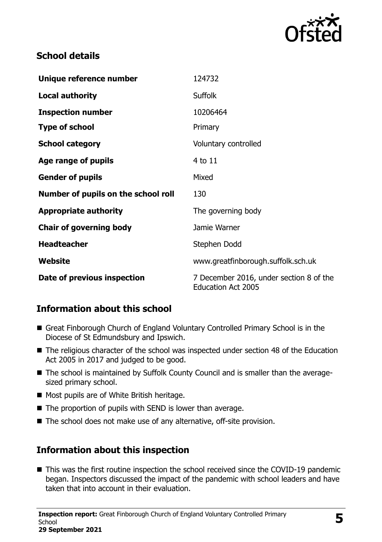

#### **School details**

| Unique reference number             | 124732                                                               |
|-------------------------------------|----------------------------------------------------------------------|
| <b>Local authority</b>              | <b>Suffolk</b>                                                       |
| <b>Inspection number</b>            | 10206464                                                             |
| <b>Type of school</b>               | Primary                                                              |
| <b>School category</b>              | Voluntary controlled                                                 |
| Age range of pupils                 | 4 to 11                                                              |
| <b>Gender of pupils</b>             | Mixed                                                                |
| Number of pupils on the school roll | 130                                                                  |
| <b>Appropriate authority</b>        | The governing body                                                   |
| <b>Chair of governing body</b>      | Jamie Warner                                                         |
| <b>Headteacher</b>                  | Stephen Dodd                                                         |
| Website                             | www.greatfinborough.suffolk.sch.uk                                   |
| Date of previous inspection         | 7 December 2016, under section 8 of the<br><b>Education Act 2005</b> |

### **Information about this school**

- Great Finborough Church of England Voluntary Controlled Primary School is in the Diocese of St Edmundsbury and Ipswich.
- The religious character of the school was inspected under section 48 of the Education Act 2005 in 2017 and judged to be good.
- The school is maintained by Suffolk County Council and is smaller than the averagesized primary school.
- Most pupils are of White British heritage.
- The proportion of pupils with SEND is lower than average.
- The school does not make use of any alternative, off-site provision.

### **Information about this inspection**

■ This was the first routine inspection the school received since the COVID-19 pandemic began. Inspectors discussed the impact of the pandemic with school leaders and have taken that into account in their evaluation.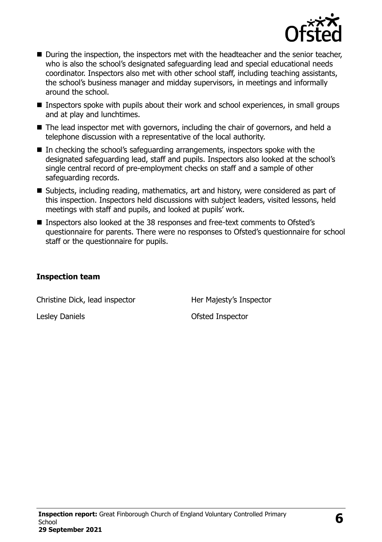

- During the inspection, the inspectors met with the headteacher and the senior teacher, who is also the school's designated safeguarding lead and special educational needs coordinator. Inspectors also met with other school staff, including teaching assistants, the school's business manager and midday supervisors, in meetings and informally around the school.
- **Inspectors spoke with pupils about their work and school experiences, in small groups** and at play and lunchtimes.
- The lead inspector met with governors, including the chair of governors, and held a telephone discussion with a representative of the local authority.
- In checking the school's safeguarding arrangements, inspectors spoke with the designated safeguarding lead, staff and pupils. Inspectors also looked at the school's single central record of pre-employment checks on staff and a sample of other safeguarding records.
- Subjects, including reading, mathematics, art and history, were considered as part of this inspection. Inspectors held discussions with subject leaders, visited lessons, held meetings with staff and pupils, and looked at pupils' work.
- Inspectors also looked at the 38 responses and free-text comments to Ofsted's questionnaire for parents. There were no responses to Ofsted's questionnaire for school staff or the questionnaire for pupils.

#### **Inspection team**

Christine Dick, lead inspector Her Majesty's Inspector

Lesley Daniels **Daniels Contact Contact Contact Contact Contact Contact Contact Contact Contact Contact Contact Contact Contact Contact Contact Contact Contact Contact Contact Contact Contact Contact Contact Contact Cont**